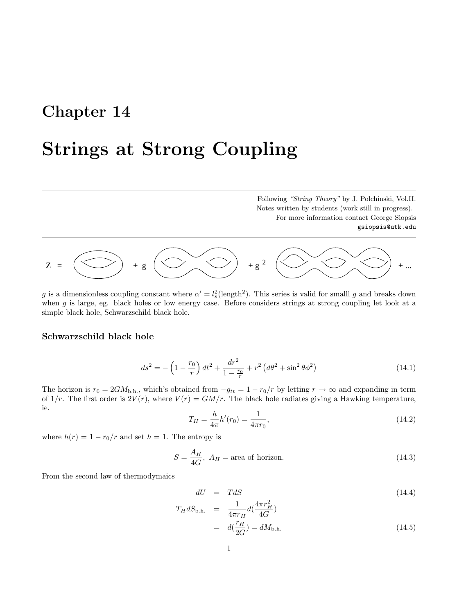## Chapter 14

## Strings at Strong Coupling

Following "String Theory" by J. Polchinski, Vol.II. Notes written by students (work still in progress). For more information contact George Siopsis gsiopsis@utk.edu



g is a dimensionless coupling constant where  $\alpha' = l_s^2(\text{length}^2)$ . This series is valid for smalll g and breaks down when g is large, eg. black holes or low energy case. Before considers strings at strong coupling let look at a simple black hole, Schwarzschild black hole.

## Schwarzschild black hole

$$
ds^{2} = -\left(1 - \frac{r_{0}}{r}\right)dt^{2} + \frac{dr^{2}}{1 - \frac{r_{0}}{r}} + r^{2}\left(d\theta^{2} + \sin^{2}\theta\phi^{2}\right)
$$
\n(14.1)

The horizon is  $r_0 = 2GM_{b,h}$ , which's obtained from  $-g_{tt} = 1 - r_0/r$  by letting  $r \to \infty$  and expanding in term of  $1/r$ . The first order is  $2V(r)$ , where  $V(r) = GM/r$ . The black hole radiates giving a Hawking temperature, ie.

$$
T_H = \frac{\hbar}{4\pi} h'(r_0) = \frac{1}{4\pi r_0},\tag{14.2}
$$

where  $h(r) = 1 - r_0/r$  and set  $\hbar = 1$ . The entropy is

$$
S = \frac{A_H}{4G}, A_H = \text{area of horizon.} \tag{14.3}
$$

From the second law of thermodymaics

$$
dU = TdS \tag{14.4}
$$

$$
T_H dS_{\text{b.h.}} = \frac{1}{4\pi r_H} d(\frac{4\pi r_H^2}{4G})
$$
  
=  $d(\frac{r_H}{2G}) = dM_{\text{b.h.}}$  (14.5)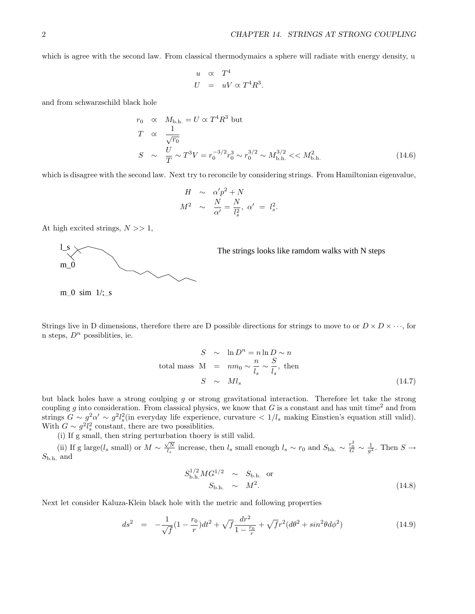which is agree with the second law. From classical thermodymaics a sphere will radiate with energy density, u

$$
u \propto T^4
$$
  

$$
U = uV \propto T^4 R^3.
$$

and from schwarzschild black hole

$$
r_0 \propto M_{\text{b.h.}} = U \propto T^4 R^3 \text{ but}
$$
  
\n
$$
T \propto \frac{1}{\sqrt{r_0}}
$$
  
\n
$$
S \sim \frac{U}{T} \sim T^3 V = r_0^{-3/2} r_0^3 \sim r_0^{3/2} \sim M_{\text{b.h.}}^{3/2} \ll M_{\text{b.h.}}^2
$$
\n(14.6)

which is disagree with the second law. Next try to reconcile by considering strings. From Hamiltonian eigenvalue,

$$
H \sim \alpha' p^2 + N
$$
  

$$
M^2 \sim \frac{N}{\alpha'} = \frac{N}{l_s^2}, \alpha' = l_s^2.
$$

At high excited strings,  $N \gg 1$ ,



The strings looks like ramdom walks with N steps

m 0 sim  $1/$ ; s

Strings live in D dimensions, therefore there are D possible directions for strings to move to or  $D \times D \times \cdots$ , for n steps,  $D^n$  possiblities, ie.

$$
S \sim \ln D^n = n \ln D \sim n
$$
  
total mass M =  $nm_0 \sim \frac{n}{l_s} \sim \frac{S}{l_s}$ , then  

$$
S \sim M l_s
$$
 (14.7)

but black holes have a strong coulping g or strong gravitational interaction. Therefore let take the strong coupling g into consideration. From classical physics, we know that G is a constant and has unit time<sup>2</sup> and from strings  $G \sim g^2 \alpha' \sim g^2 l_s^2$  (in everyday life experience, curvature  $\lt 1/l_s$  making Einstien's equation still valid). With  $G \sim g^2 l_s^2$  constant, there are two possiblities.

(i) If g small, then string perturbation thoery is still valid.

(ii) If g large(l<sub>s</sub> small) or  $M \sim \frac{\sqrt{N}}{l_s}$  increase, then l<sub>s</sub> small enough  $l_s \sim r_0$  and  $S_{\text{bh}} \sim \frac{r_0^2}{G} \sim \frac{1}{g^2}$ . Then  $S \to$  $S_{\rm b.h.}$  and

$$
S_{\text{b.h.}}^{1/2} MG^{1/2} \sim S_{\text{b.h.}} \text{ or}
$$
  

$$
S_{\text{b.h.}} \sim M^2.
$$
 (14.8)

Next let consider Kaluza-Klein black hole with the metric and following properties

$$
ds^{2} = -\frac{1}{\sqrt{f}}(1 - \frac{r_{0}}{r})dt^{2} + \sqrt{f}\frac{dr^{2}}{1 - \frac{r_{0}}{r}} + \sqrt{f}r^{2}(d\theta^{2} + \sin^{2}\theta d\phi^{2})
$$
(14.9)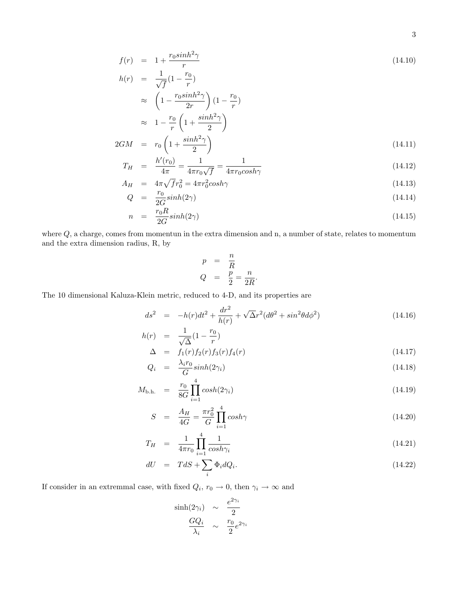$$
f(r) = 1 + \frac{r_0 \sinh^2 \gamma}{r}
$$
  
\n
$$
h(r) = \frac{1}{\sqrt{f}} (1 - \frac{r_0}{r})
$$
  
\n
$$
\approx \left(1 - \frac{r_0 \sinh^2 \gamma}{2r}\right) (1 - \frac{r_0}{r})
$$
  
\n
$$
\approx 1 - \frac{r_0}{r} \left(1 + \frac{\sinh^2 \gamma}{2}\right)
$$
\n(14.10)

$$
2GM = r_0 \left(1 + \frac{\sinh^2 \gamma}{2}\right) \tag{14.11}
$$

$$
T_H = \frac{h'(r_0)}{4\pi} = \frac{1}{4\pi r_0 \sqrt{f}} = \frac{1}{4\pi r_0 \cosh\gamma}
$$
\n(14.12)

$$
A_H = 4\pi \sqrt{f} r_0^2 = 4\pi r_0^2 \cosh\gamma \tag{14.13}
$$
\n
$$
C = \frac{r_0 \sinh(2\pi)}{f} \tag{14.14}
$$

$$
Q = \frac{1}{2G} \sinh(2\gamma) \tag{14.14}
$$
\n
$$
r_0 R_{\sinh(2\gamma)} \tag{14.15}
$$

$$
n = \frac{r_0 n}{2G} \sinh(2\gamma) \tag{14.15}
$$

where Q, a charge, comes from momentun in the extra dimension and n, a number of state, relates to momentum and the extra dimension radius, R, by

$$
p = \frac{n}{R}
$$
  

$$
Q = \frac{p}{2} = \frac{n}{2R}.
$$

The 10 dimensional Kaluza-Klein metric, reduced to 4-D, and its properties are

$$
ds^{2} = -h(r)dt^{2} + \frac{dr^{2}}{h(r)} + \sqrt{\Delta}r^{2}(d\theta^{2} + sin^{2}\theta d\phi^{2})
$$
\n(14.16)

$$
h(r) = \frac{1}{\sqrt{\Delta}} (1 - \frac{r_0}{r})
$$
  
\n
$$
\Delta = f_1(r) f_2(r) f_3(r) f_4(r)
$$
\n(14.17)

$$
\Delta = f_1(r) f_2(r) f_3(r) f_4(r) \qquad (14.17)
$$
  
\n
$$
Q_i = \frac{\lambda_i r_0}{G} \sinh(2\gamma_i) \qquad (14.18)
$$

$$
M_{\rm b.h.} = \frac{r_0}{8G} \prod_{i=1}^{4} \cosh(2\gamma_i)
$$
 (14.19)

$$
S = \frac{A_H}{4G} = \frac{\pi r_0^2}{G} \prod_{i=1}^4 \cosh\gamma \tag{14.20}
$$

$$
T_H = \frac{1}{4\pi r_0} \prod_{i=1}^4 \frac{1}{\cosh \gamma_i} \tag{14.21}
$$

$$
dU = TdS + \sum_{i} \Phi_i dQ_i.
$$
\n(14.22)

If consider in an extremmal case, with fixed  $Q_i$ ,  $r_0 \to 0$ , then  $\gamma_i \to \infty$  and

$$
\frac{\sinh(2\gamma_i)}{\lambda_i} \sim \frac{e^{2\gamma_i}}{2}
$$

$$
\frac{GQ_i}{\lambda_i} \sim \frac{r_0}{2}e^{2\gamma_i}
$$